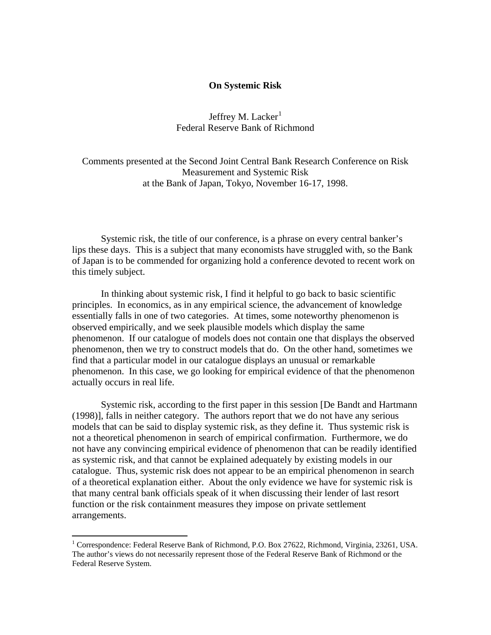## **On Systemic Risk**

Jeffrey M. Lacker $<sup>1</sup>$  $<sup>1</sup>$  $<sup>1</sup>$ </sup> Federal Reserve Bank of Richmond

Comments presented at the Second Joint Central Bank Research Conference on Risk Measurement and Systemic Risk at the Bank of Japan, Tokyo, November 16-17, 1998.

Systemic risk, the title of our conference, is a phrase on every central banker's lips these days. This is a subject that many economists have struggled with, so the Bank of Japan is to be commended for organizing hold a conference devoted to recent work on this timely subject.

In thinking about systemic risk, I find it helpful to go back to basic scientific principles. In economics, as in any empirical science, the advancement of knowledge essentially falls in one of two categories. At times, some noteworthy phenomenon is observed empirically, and we seek plausible models which display the same phenomenon. If our catalogue of models does not contain one that displays the observed phenomenon, then we try to construct models that do. On the other hand, sometimes we find that a particular model in our catalogue displays an unusual or remarkable phenomenon. In this case, we go looking for empirical evidence of that the phenomenon actually occurs in real life.

Systemic risk, according to the first paper in this session [De Bandt and Hartmann (1998)], falls in neither category. The authors report that we do not have any serious models that can be said to display systemic risk, as they define it. Thus systemic risk is not a theoretical phenomenon in search of empirical confirmation. Furthermore, we do not have any convincing empirical evidence of phenomenon that can be readily identified as systemic risk, and that cannot be explained adequately by existing models in our catalogue. Thus, systemic risk does not appear to be an empirical phenomenon in search of a theoretical explanation either. About the only evidence we have for systemic risk is that many central bank officials speak of it when discussing their lender of last resort function or the risk containment measures they impose on private settlement arrangements.

 $\overline{a}$ 

<span id="page-0-0"></span><sup>&</sup>lt;sup>1</sup> Correspondence: Federal Reserve Bank of Richmond, P.O. Box 27622, Richmond, Virginia, 23261, USA. The author's views do not necessarily represent those of the Federal Reserve Bank of Richmond or the Federal Reserve System.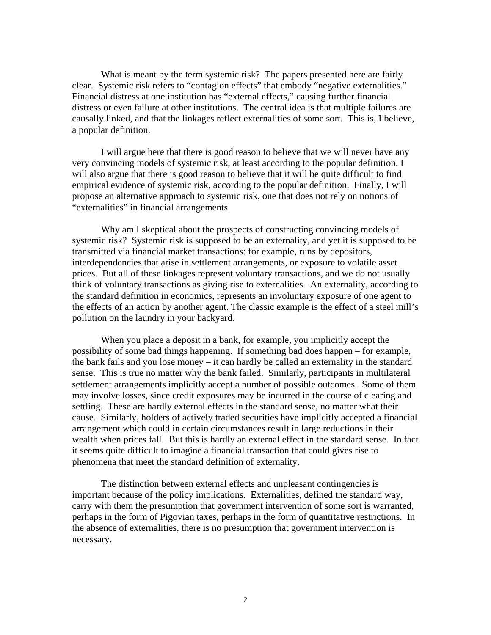What is meant by the term systemic risk? The papers presented here are fairly clear. Systemic risk refers to "contagion effects" that embody "negative externalities." Financial distress at one institution has "external effects," causing further financial distress or even failure at other institutions. The central idea is that multiple failures are causally linked, and that the linkages reflect externalities of some sort. This is, I believe, a popular definition.

I will argue here that there is good reason to believe that we will never have any very convincing models of systemic risk, at least according to the popular definition. I will also argue that there is good reason to believe that it will be quite difficult to find empirical evidence of systemic risk, according to the popular definition. Finally, I will propose an alternative approach to systemic risk, one that does not rely on notions of "externalities" in financial arrangements.

Why am I skeptical about the prospects of constructing convincing models of systemic risk? Systemic risk is supposed to be an externality, and yet it is supposed to be transmitted via financial market transactions: for example, runs by depositors, interdependencies that arise in settlement arrangements, or exposure to volatile asset prices. But all of these linkages represent voluntary transactions, and we do not usually think of voluntary transactions as giving rise to externalities. An externality, according to the standard definition in economics, represents an involuntary exposure of one agent to the effects of an action by another agent. The classic example is the effect of a steel mill's pollution on the laundry in your backyard.

When you place a deposit in a bank, for example, you implicitly accept the possibility of some bad things happening. If something bad does happen – for example, the bank fails and you lose money – it can hardly be called an externality in the standard sense. This is true no matter why the bank failed. Similarly, participants in multilateral settlement arrangements implicitly accept a number of possible outcomes. Some of them may involve losses, since credit exposures may be incurred in the course of clearing and settling. These are hardly external effects in the standard sense, no matter what their cause. Similarly, holders of actively traded securities have implicitly accepted a financial arrangement which could in certain circumstances result in large reductions in their wealth when prices fall. But this is hardly an external effect in the standard sense. In fact it seems quite difficult to imagine a financial transaction that could gives rise to phenomena that meet the standard definition of externality.

The distinction between external effects and unpleasant contingencies is important because of the policy implications. Externalities, defined the standard way, carry with them the presumption that government intervention of some sort is warranted, perhaps in the form of Pigovian taxes, perhaps in the form of quantitative restrictions. In the absence of externalities, there is no presumption that government intervention is necessary.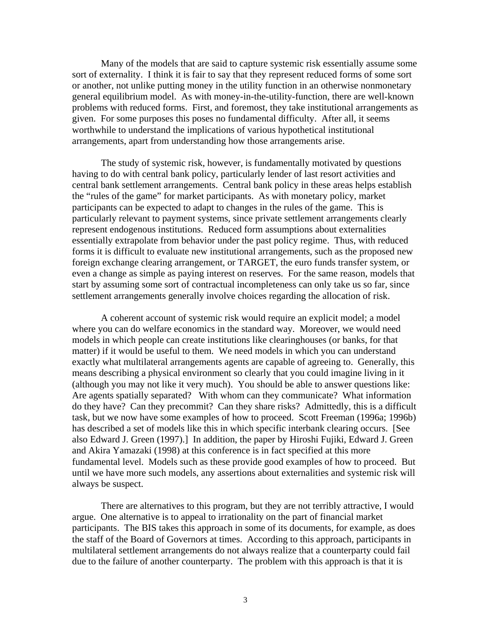Many of the models that are said to capture systemic risk essentially assume some sort of externality. I think it is fair to say that they represent reduced forms of some sort or another, not unlike putting money in the utility function in an otherwise nonmonetary general equilibrium model. As with money-in-the-utility-function, there are well-known problems with reduced forms. First, and foremost, they take institutional arrangements as given. For some purposes this poses no fundamental difficulty. After all, it seems worthwhile to understand the implications of various hypothetical institutional arrangements, apart from understanding how those arrangements arise.

The study of systemic risk, however, is fundamentally motivated by questions having to do with central bank policy, particularly lender of last resort activities and central bank settlement arrangements. Central bank policy in these areas helps establish the "rules of the game" for market participants. As with monetary policy, market participants can be expected to adapt to changes in the rules of the game. This is particularly relevant to payment systems, since private settlement arrangements clearly represent endogenous institutions. Reduced form assumptions about externalities essentially extrapolate from behavior under the past policy regime. Thus, with reduced forms it is difficult to evaluate new institutional arrangements, such as the proposed new foreign exchange clearing arrangement, or TARGET, the euro funds transfer system, or even a change as simple as paying interest on reserves. For the same reason, models that start by assuming some sort of contractual incompleteness can only take us so far, since settlement arrangements generally involve choices regarding the allocation of risk.

A coherent account of systemic risk would require an explicit model; a model where you can do welfare economics in the standard way. Moreover, we would need models in which people can create institutions like clearinghouses (or banks, for that matter) if it would be useful to them. We need models in which you can understand exactly what multilateral arrangements agents are capable of agreeing to. Generally, this means describing a physical environment so clearly that you could imagine living in it (although you may not like it very much). You should be able to answer questions like: Are agents spatially separated? With whom can they communicate? What information do they have? Can they precommit? Can they share risks? Admittedly, this is a difficult task, but we now have some examples of how to proceed. Scott Freeman (1996a; 1996b) has described a set of models like this in which specific interbank clearing occurs. [See also Edward J. Green (1997).] In addition, the paper by Hiroshi Fujiki, Edward J. Green and Akira Yamazaki (1998) at this conference is in fact specified at this more fundamental level. Models such as these provide good examples of how to proceed. But until we have more such models, any assertions about externalities and systemic risk will always be suspect.

There are alternatives to this program, but they are not terribly attractive, I would argue. One alternative is to appeal to irrationality on the part of financial market participants. The BIS takes this approach in some of its documents, for example, as does the staff of the Board of Governors at times. According to this approach, participants in multilateral settlement arrangements do not always realize that a counterparty could fail due to the failure of another counterparty. The problem with this approach is that it is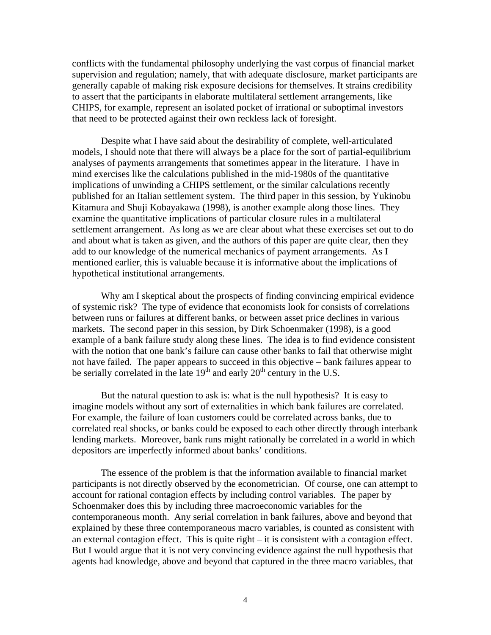conflicts with the fundamental philosophy underlying the vast corpus of financial market supervision and regulation; namely, that with adequate disclosure, market participants are generally capable of making risk exposure decisions for themselves. It strains credibility to assert that the participants in elaborate multilateral settlement arrangements, like CHIPS, for example, represent an isolated pocket of irrational or suboptimal investors that need to be protected against their own reckless lack of foresight.

Despite what I have said about the desirability of complete, well-articulated models, I should note that there will always be a place for the sort of partial-equilibrium analyses of payments arrangements that sometimes appear in the literature. I have in mind exercises like the calculations published in the mid-1980s of the quantitative implications of unwinding a CHIPS settlement, or the similar calculations recently published for an Italian settlement system. The third paper in this session, by Yukinobu Kitamura and Shuji Kobayakawa (1998), is another example along those lines. They examine the quantitative implications of particular closure rules in a multilateral settlement arrangement. As long as we are clear about what these exercises set out to do and about what is taken as given, and the authors of this paper are quite clear, then they add to our knowledge of the numerical mechanics of payment arrangements. As I mentioned earlier, this is valuable because it is informative about the implications of hypothetical institutional arrangements.

Why am I skeptical about the prospects of finding convincing empirical evidence of systemic risk? The type of evidence that economists look for consists of correlations between runs or failures at different banks, or between asset price declines in various markets. The second paper in this session, by Dirk Schoenmaker (1998), is a good example of a bank failure study along these lines. The idea is to find evidence consistent with the notion that one bank's failure can cause other banks to fail that otherwise might not have failed. The paper appears to succeed in this objective – bank failures appear to be serially correlated in the late  $19<sup>th</sup>$  and early  $20<sup>th</sup>$  century in the U.S.

But the natural question to ask is: what is the null hypothesis? It is easy to imagine models without any sort of externalities in which bank failures are correlated. For example, the failure of loan customers could be correlated across banks, due to correlated real shocks, or banks could be exposed to each other directly through interbank lending markets. Moreover, bank runs might rationally be correlated in a world in which depositors are imperfectly informed about banks' conditions.

The essence of the problem is that the information available to financial market participants is not directly observed by the econometrician. Of course, one can attempt to account for rational contagion effects by including control variables. The paper by Schoenmaker does this by including three macroeconomic variables for the contemporaneous month. Any serial correlation in bank failures, above and beyond that explained by these three contemporaneous macro variables, is counted as consistent with an external contagion effect. This is quite right – it is consistent with a contagion effect. But I would argue that it is not very convincing evidence against the null hypothesis that agents had knowledge, above and beyond that captured in the three macro variables, that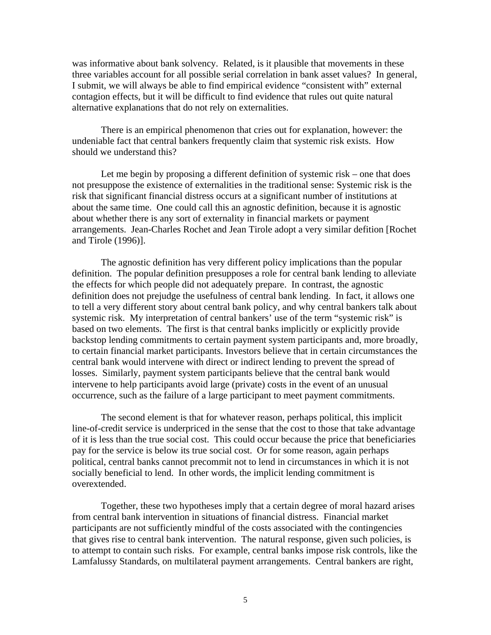was informative about bank solvency. Related, is it plausible that movements in these three variables account for all possible serial correlation in bank asset values? In general, I submit, we will always be able to find empirical evidence "consistent with" external contagion effects, but it will be difficult to find evidence that rules out quite natural alternative explanations that do not rely on externalities.

There is an empirical phenomenon that cries out for explanation, however: the undeniable fact that central bankers frequently claim that systemic risk exists. How should we understand this?

Let me begin by proposing a different definition of systemic risk – one that does not presuppose the existence of externalities in the traditional sense: Systemic risk is the risk that significant financial distress occurs at a significant number of institutions at about the same time. One could call this an agnostic definition, because it is agnostic about whether there is any sort of externality in financial markets or payment arrangements. Jean-Charles Rochet and Jean Tirole adopt a very similar defition [Rochet and Tirole (1996)].

The agnostic definition has very different policy implications than the popular definition. The popular definition presupposes a role for central bank lending to alleviate the effects for which people did not adequately prepare. In contrast, the agnostic definition does not prejudge the usefulness of central bank lending. In fact, it allows one to tell a very different story about central bank policy, and why central bankers talk about systemic risk. My interpretation of central bankers' use of the term "systemic risk" is based on two elements. The first is that central banks implicitly or explicitly provide backstop lending commitments to certain payment system participants and, more broadly, to certain financial market participants. Investors believe that in certain circumstances the central bank would intervene with direct or indirect lending to prevent the spread of losses. Similarly, payment system participants believe that the central bank would intervene to help participants avoid large (private) costs in the event of an unusual occurrence, such as the failure of a large participant to meet payment commitments.

The second element is that for whatever reason, perhaps political, this implicit line-of-credit service is underpriced in the sense that the cost to those that take advantage of it is less than the true social cost. This could occur because the price that beneficiaries pay for the service is below its true social cost. Or for some reason, again perhaps political, central banks cannot precommit not to lend in circumstances in which it is not socially beneficial to lend. In other words, the implicit lending commitment is overextended.

Together, these two hypotheses imply that a certain degree of moral hazard arises from central bank intervention in situations of financial distress. Financial market participants are not sufficiently mindful of the costs associated with the contingencies that gives rise to central bank intervention. The natural response, given such policies, is to attempt to contain such risks. For example, central banks impose risk controls, like the Lamfalussy Standards, on multilateral payment arrangements. Central bankers are right,